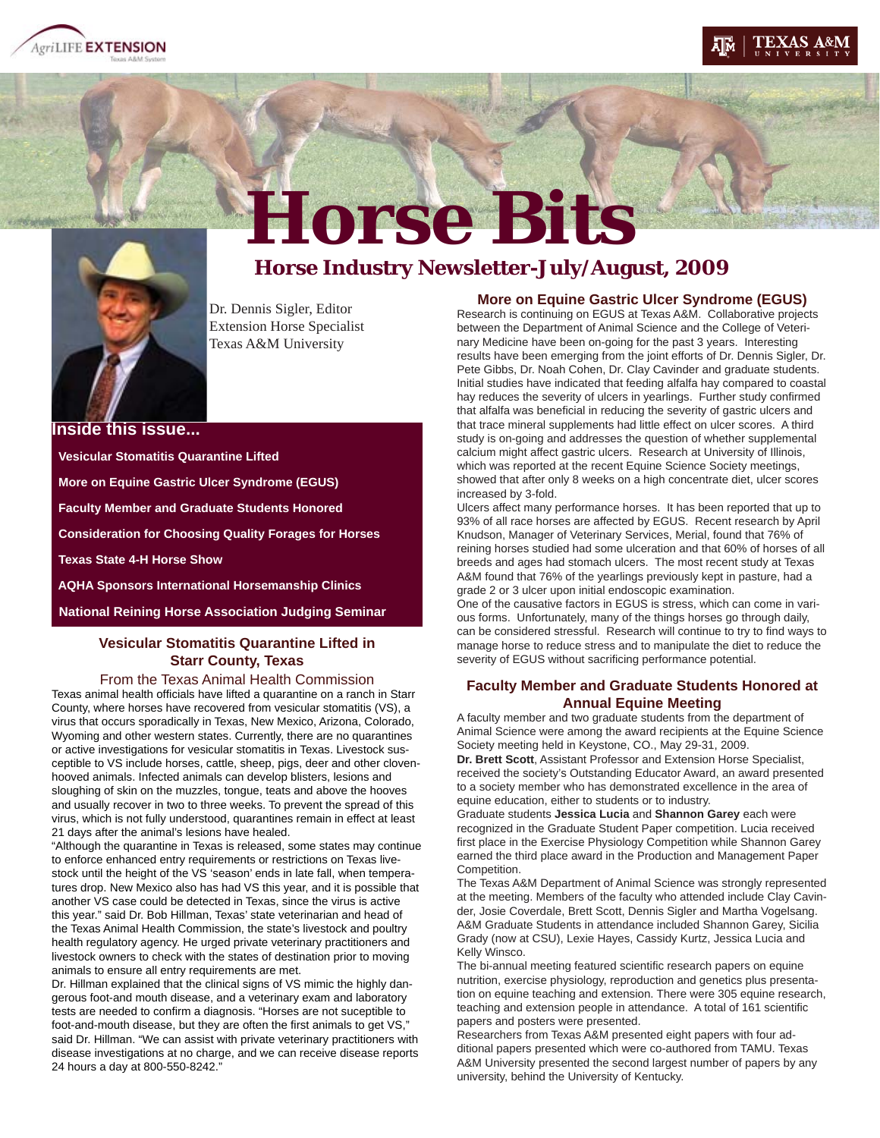





# Horse Bits **Horse Bits**

Dr. Dennis Sigler, Editor Extension Horse Specialist Texas A&M University

**Inside this issue... Vesicular Stomatitis Quarantine Lifted More on Equine Gastric Ulcer Syndrome (EGUS) Faculty Member and Graduate Students Honored Consideration for Choosing Quality Forages for Horses Texas State 4-H Horse Show AQHA Sponsors International Horsemanship Clinics National Reining Horse Association Judging Seminar**

# **Vesicular Stomatitis Quarantine Lifted in Starr County, Texas**

#### From the Texas Animal Health Commission

Texas animal health officials have lifted a quarantine on a ranch in Starr County, where horses have recovered from vesicular stomatitis (VS), a virus that occurs sporadically in Texas, New Mexico, Arizona, Colorado, Wyoming and other western states. Currently, there are no quarantines or active investigations for vesicular stomatitis in Texas. Livestock susceptible to VS include horses, cattle, sheep, pigs, deer and other clovenhooved animals. Infected animals can develop blisters, lesions and sloughing of skin on the muzzles, tongue, teats and above the hooves and usually recover in two to three weeks. To prevent the spread of this virus, which is not fully understood, quarantines remain in effect at least 21 days after the animal's lesions have healed.

"Although the quarantine in Texas is released, some states may continue to enforce enhanced entry requirements or restrictions on Texas livestock until the height of the VS 'season' ends in late fall, when temperatures drop. New Mexico also has had VS this year, and it is possible that another VS case could be detected in Texas, since the virus is active this year." said Dr. Bob Hillman, Texas' state veterinarian and head of the Texas Animal Health Commission, the state's livestock and poultry health regulatory agency. He urged private veterinary practitioners and livestock owners to check with the states of destination prior to moving animals to ensure all entry requirements are met.

Dr. Hillman explained that the clinical signs of VS mimic the highly dangerous foot-and mouth disease, and a veterinary exam and laboratory tests are needed to confirm a diagnosis. "Horses are not suceptible to foot-and-mouth disease, but they are often the first animals to get VS," said Dr. Hillman. "We can assist with private veterinary practitioners with disease investigations at no charge, and we can receive disease reports 24 hours a day at 800-550-8242."

# **More on Equine Gastric Ulcer Syndrome (EGUS)**

Research is continuing on EGUS at Texas A&M. Collaborative projects between the Department of Animal Science and the College of Veterinary Medicine have been on-going for the past 3 years. Interesting results have been emerging from the joint efforts of Dr. Dennis Sigler, Dr. Pete Gibbs, Dr. Noah Cohen, Dr. Clay Cavinder and graduate students. Initial studies have indicated that feeding alfalfa hay compared to coastal hay reduces the severity of ulcers in yearlings. Further study confirmed that alfalfa was beneficial in reducing the severity of gastric ulcers and that trace mineral supplements had little effect on ulcer scores. A third study is on-going and addresses the question of whether supplemental calcium might affect gastric ulcers. Research at University of Illinois, which was reported at the recent Equine Science Society meetings, showed that after only 8 weeks on a high concentrate diet, ulcer scores increased by 3-fold.

Ulcers affect many performance horses. It has been reported that up to 93% of all race horses are affected by EGUS. Recent research by April Knudson, Manager of Veterinary Services, Merial, found that 76% of reining horses studied had some ulceration and that 60% of horses of all breeds and ages had stomach ulcers. The most recent study at Texas A&M found that 76% of the yearlings previously kept in pasture, had a grade 2 or 3 ulcer upon initial endoscopic examination.

One of the causative factors in EGUS is stress, which can come in various forms. Unfortunately, many of the things horses go through daily, can be considered stressful. Research will continue to try to find ways to manage horse to reduce stress and to manipulate the diet to reduce the severity of EGUS without sacrificing performance potential.

#### **Faculty Member and Graduate Students Honored at Annual Equine Meeting**

A faculty member and two graduate students from the department of Animal Science were among the award recipients at the Equine Science Society meeting held in Keystone, CO., May 29-31, 2009.

**Dr. Brett Scott**, Assistant Professor and Extension Horse Specialist, received the society's Outstanding Educator Award, an award presented to a society member who has demonstrated excellence in the area of equine education, either to students or to industry.

Graduate students **Jessica Lucia** and **Shannon Garey** each were recognized in the Graduate Student Paper competition. Lucia received first place in the Exercise Physiology Competition while Shannon Garey earned the third place award in the Production and Management Paper Competition.

The Texas A&M Department of Animal Science was strongly represented at the meeting. Members of the faculty who attended include Clay Cavinder, Josie Coverdale, Brett Scott, Dennis Sigler and Martha Vogelsang. A&M Graduate Students in attendance included Shannon Garey, Sicilia Grady (now at CSU), Lexie Hayes, Cassidy Kurtz, Jessica Lucia and Kelly Winsco.

The bi-annual meeting featured scientific research papers on equine nutrition, exercise physiology, reproduction and genetics plus presentation on equine teaching and extension. There were 305 equine research, teaching and extension people in attendance. A total of 161 scientific papers and posters were presented.

Researchers from Texas A&M presented eight papers with four additional papers presented which were co-authored from TAMU. Texas A&M University presented the second largest number of papers by any university, behind the University of Kentucky.